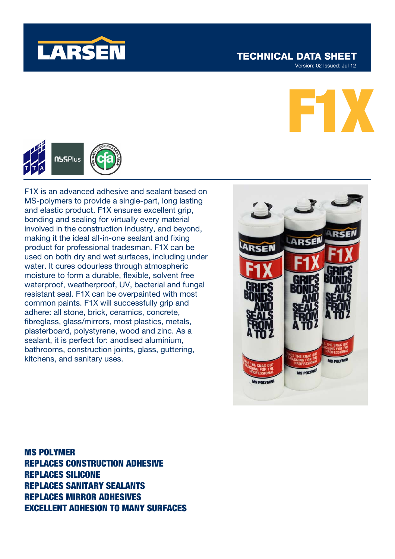

## **TECHNICAL DATA SHEET**

Version: 02 Issued: Jul 12





F1X is an advanced adhesive and sealant based on MS-polymers to provide a single-part, long lasting and elastic product. F1X ensures excellent grip, bonding and sealing for virtually every material involved in the construction industry, and beyond, making it the ideal all-in-one sealant and fixing product for professional tradesman. F1X can be used on both dry and wet surfaces, including under water. It cures odourless through atmospheric moisture to form a durable, flexible, solvent free waterproof, weatherproof, UV, bacterial and fungal resistant seal. F1X can be overpainted with most common paints. F1X will successfully grip and adhere: all stone, brick, ceramics, concrete, fibreglass, glass/mirrors, most plastics, metals, plasterboard, polystyrene, wood and zinc. As a sealant, it is perfect for: anodised aluminium, bathrooms, construction joints, glass, guttering, kitchens, and sanitary uses.



MS POLYMER REPLACES CONSTRUCTION ADHESIVE REPLACES SILICONE REPLACES SANITARY SEALANTS REPLACES MIRROR ADHESIVES EXCELLENT ADHESION TO MANY SURFACES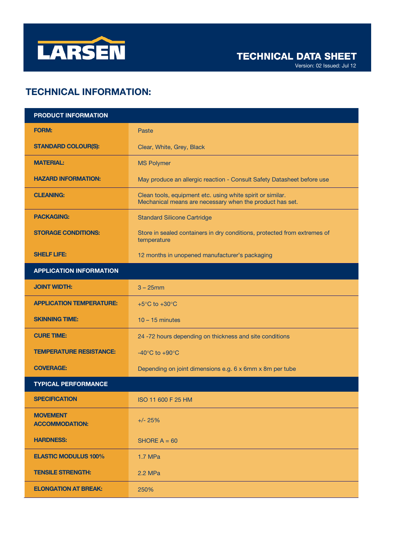

Version: 02 Issued: Jul 12

# TECHNICAL INFORMATION:

| PRODUCT INFORMATION                      |                                                                                                                        |
|------------------------------------------|------------------------------------------------------------------------------------------------------------------------|
| <b>FORM:</b>                             | Paste                                                                                                                  |
| <b>STANDARD COLOUR(S):</b>               | Clear, White, Grey, Black                                                                                              |
| <b>MATERIAL:</b>                         | <b>MS Polymer</b>                                                                                                      |
| <b>HAZARD INFORMATION:</b>               | May produce an allergic reaction - Consult Safety Datasheet before use                                                 |
| <b>CLEANING:</b>                         | Clean tools, equipment etc. using white spirit or similar.<br>Mechanical means are necessary when the product has set. |
| <b>PACKAGING:</b>                        | <b>Standard Silicone Cartridge</b>                                                                                     |
| <b>STORAGE CONDITIONS:</b>               | Store in sealed containers in dry conditions, protected from extremes of<br>temperature                                |
| <b>SHELF LIFE:</b>                       | 12 months in unopened manufacturer's packaging                                                                         |
| <b>APPLICATION INFORMATION</b>           |                                                                                                                        |
| <b>JOINT WIDTH:</b>                      | $3 - 25$ mm                                                                                                            |
| <b>APPLICATION TEMPERATURE:</b>          | +5 $\rm{^{\circ}C}$ to +30 $\rm{^{\circ}C}$                                                                            |
| <b>SKINNING TIME:</b>                    | $10 - 15$ minutes                                                                                                      |
| <b>CURE TIME:</b>                        | 24 -72 hours depending on thickness and site conditions                                                                |
| <b>TEMPERATURE RESISTANCE:</b>           | -40 $\mathrm{^{\circ}C}$ to +90 $\mathrm{^{\circ}C}$                                                                   |
| <b>COVERAGE:</b>                         | Depending on joint dimensions e.g. 6 x 6mm x 8m per tube                                                               |
| <b>TYPICAL PERFORMANCE</b>               |                                                                                                                        |
| <b>SPECIFICATION</b>                     | ISO 11 600 F 25 HM                                                                                                     |
| <b>MOVEMENT</b><br><b>ACCOMMODATION:</b> | $+/- 25%$                                                                                                              |
| <b>HARDNESS:</b>                         | SHORE $A = 60$                                                                                                         |
| <b>ELASTIC MODULUS 100%</b>              | $1.7$ MPa                                                                                                              |
| <b>TENSILE STRENGTH:</b>                 | 2.2 MPa                                                                                                                |
| <b>ELONGATION AT BREAK:</b>              | 250%                                                                                                                   |